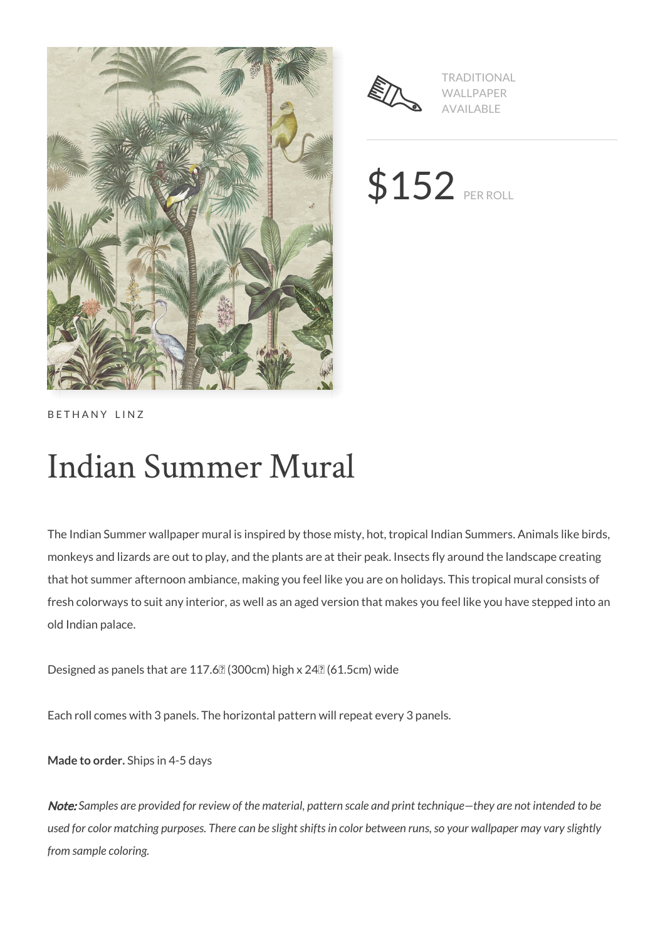



TRADITIONAL WALLPAPER AVAILABLE

\$152 PER ROLL

BETHANY LINZ

# Indian Summer Mural

The Indian Summer wallpaper mural is inspired by those misty, hot, tropical Indian Summers. Animals like birds, monkeys and lizards are out to play, and the plants are at their peak. Insects fly around the landscape creating that hot summer afternoon ambiance, making you feel like you are on holidays. This tropical mural consists of fresh colorways to suit any interior, as well as an aged version that makes you feel like you have stepped into an old Indian palace.

Designed as panels that are 117.6 $\sqrt{2}$  (300cm) high x 24 $\sqrt{2}$  (61.5cm) wide

Each roll comes with 3 panels. The horizontal pattern will repeat every 3 panels.

**Made to order.** Ships in 4-5 days

Note: *Samples are provided for review of the material, pattern scale and print technique—they are not intended to be used for color matching purposes. There can be slight shifts in color between runs, so your wallpaper may vary slightly from sample coloring.*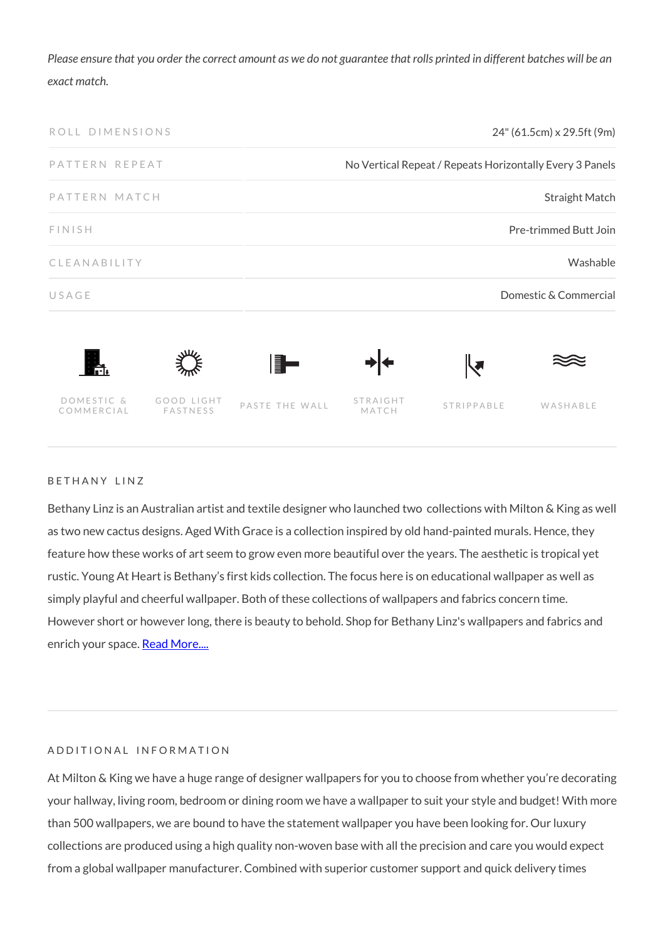*Please ensure that you order the correct amount as we do not guarantee that rolls printed in different batches will be an exact match.*



#### BETHANY LINZ

Bethany Linz is an Australian artist and textile designer who launched two collections with Milton & King as well as two new cactus designs. Aged With Grace is a collection inspired by old hand-painted murals. Hence, they feature how these works of art seem to grow even more beautiful over the years. The aesthetic is tropical yet rustic. Young At Heart is Bethany's first kids collection. The focus here is on educational wallpaper as well as simply playful and cheerful wallpaper. Both of these collections of wallpapers and fabrics concern time. However short or however long, there is beauty to behold. Shop for Bethany Linz's wallpapers and fabrics and enrich your space. [Read More....](https://www.miltonandking.com/blog/who-is-bethany-linz/)

### ADDITIONAL INFORMATION

At Milton & King we have a huge range of designer wallpapers for you to choose from whether you're decorating your hallway, living room, bedroom or dining room we have a wallpaper to suit your style and budget! With more than 500 wallpapers, we are bound to have the statement wallpaper you have been looking for. Our luxury collections are produced using a high quality non-woven base with all the precision and care you would expect from a global wallpaper manufacturer. Combined with superior customer support and quick delivery times